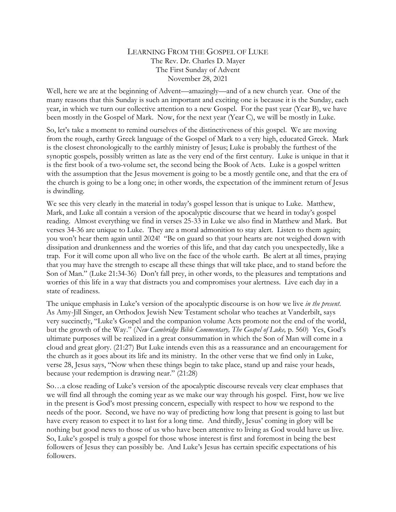## LEARNING FROM THE GOSPEL OF LUKE The Rev. Dr. Charles D. Mayer The First Sunday of Advent November 28, 2021

Well, here we are at the beginning of Advent—amazingly—and of a new church year. One of the many reasons that this Sunday is such an important and exciting one is because it is the Sunday, each year, in which we turn our collective attention to a new Gospel. For the past year (Year B), we have been mostly in the Gospel of Mark. Now, for the next year (Year C), we will be mostly in Luke.

So, let's take a moment to remind ourselves of the distinctiveness of this gospel. We are moving from the rough, earthy Greek language of the Gospel of Mark to a very high, educated Greek. Mark is the closest chronologically to the earthly ministry of Jesus; Luke is probably the furthest of the synoptic gospels, possibly written as late as the very end of the first century. Luke is unique in that it is the first book of a two-volume set, the second being the Book of Acts. Luke is a gospel written with the assumption that the Jesus movement is going to be a mostly gentile one, and that the era of the church is going to be a long one; in other words, the expectation of the imminent return of Jesus is dwindling.

We see this very clearly in the material in today's gospel lesson that is unique to Luke. Matthew, Mark, and Luke all contain a version of the apocalyptic discourse that we heard in today's gospel reading. Almost everything we find in verses 25-33 in Luke we also find in Matthew and Mark. But verses 34-36 are unique to Luke. They are a moral admonition to stay alert. Listen to them again; you won't hear them again until 2024! "Be on guard so that your hearts are not weighed down with dissipation and drunkenness and the worries of this life, and that day catch you unexpectedly, like a trap. For it will come upon all who live on the face of the whole earth. Be alert at all times, praying that you may have the strength to escape all these things that will take place, and to stand before the Son of Man." (Luke 21:34-36) Don't fall prey, in other words, to the pleasures and temptations and worries of this life in a way that distracts you and compromises your alertness. Live each day in a state of readiness.

The unique emphasis in Luke's version of the apocalyptic discourse is on how we live *in the present*. As Amy-Jill Singer, an Orthodox Jewish New Testament scholar who teaches at Vanderbilt, says very succinctly, "Luke's Gospel and the companion volume Acts promote not the end of the world, but the growth of the Way." (*New Cambridge Bible Commentary*, *The Gospel of Luke*, p. 560) Yes, God's ultimate purposes will be realized in a great consummation in which the Son of Man will come in a cloud and great glory. (21:27) But Luke intends even this as a reassurance and an encouragement for the church as it goes about its life and its ministry. In the other verse that we find only in Luke, verse 28, Jesus says, "Now when these things begin to take place, stand up and raise your heads, because your redemption is drawing near." (21:28)

So…a close reading of Luke's version of the apocalyptic discourse reveals very clear emphases that we will find all through the coming year as we make our way through his gospel. First, how we live in the present is God's most pressing concern, especially with respect to how we respond to the needs of the poor. Second, we have no way of predicting how long that present is going to last but have every reason to expect it to last for a long time. And thirdly, Jesus' coming in glory will be nothing but good news to those of us who have been attentive to living as God would have us live. So, Luke's gospel is truly a gospel for those whose interest is first and foremost in being the best followers of Jesus they can possibly be. And Luke's Jesus has certain specific expectations of his followers.